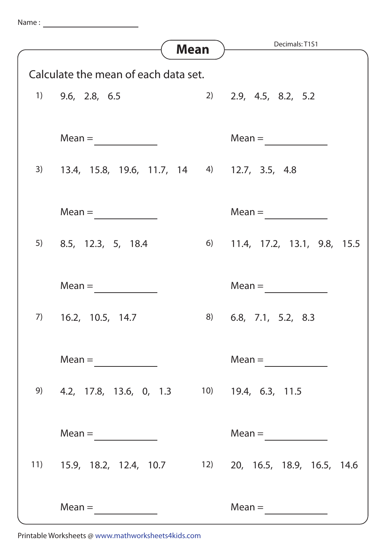| Name |  |  |
|------|--|--|
|      |  |  |
|      |  |  |

|                                      | <b>Mean</b>                                               | Decimals: T1S1                       |  |  |  |
|--------------------------------------|-----------------------------------------------------------|--------------------------------------|--|--|--|
|                                      |                                                           |                                      |  |  |  |
| Calculate the mean of each data set. |                                                           |                                      |  |  |  |
|                                      | $1)$ 9.6, 2.8, 6.5                                        | 2) 2.9, 4.5, 8.2, 5.2                |  |  |  |
|                                      | $Mean =$                                                  | $Mean =$                             |  |  |  |
|                                      | 3) 13.4, 15.8, 19.6, 11.7, 14 4) 12.7, 3.5, 4.8           |                                      |  |  |  |
|                                      | $Mean =$                                                  | $Mean =$                             |  |  |  |
|                                      | $5$ 8.5, 12.3, 5, 18.4                                    | 6) 11.4, 17.2, 13.1, 9.8, 15.5       |  |  |  |
|                                      | $Mean =$                                                  | $Mean =$                             |  |  |  |
| 7)                                   | 16.2, 10.5, 14.7<br>8)                                    | 6.8, 7.1, 5.2, 8.3                   |  |  |  |
|                                      | $Mean =$                                                  | $Mean = \qquad \qquad \qquad \qquad$ |  |  |  |
|                                      | 9) 4.2, 17.8, 13.6, 0, 1.3 10) 19.4, 6.3, 11.5            |                                      |  |  |  |
|                                      | $Mean = \fbox{________}$                                  | $Mean = \fbox{$                      |  |  |  |
|                                      | 11) 15.9, 18.2, 12.4, 10.7 12) 20, 16.5, 18.9, 16.5, 14.6 |                                      |  |  |  |
|                                      | $Mean =$                                                  | $Mean =$                             |  |  |  |